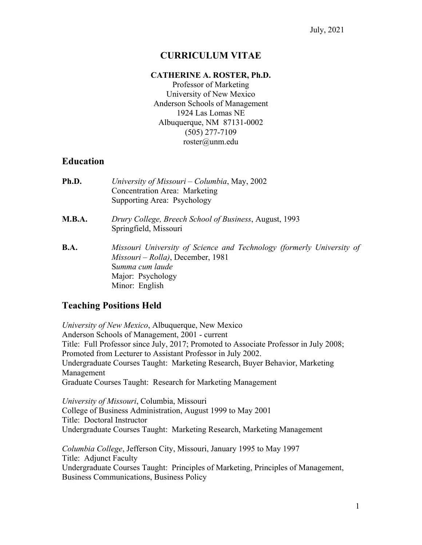## **CURRICULUM VITAE**

#### **CATHERINE A. ROSTER, Ph.D.**

Professor of Marketing University of New Mexico Anderson Schools of Management 1924 Las Lomas NE Albuquerque, NM 87131-0002 (505) 277-7109 roster@unm.edu

#### **Education**

| Ph.D.         | University of Missouri – Columbia, May, 2002<br>Concentration Area: Marketing<br>Supporting Area: Psychology                                                         |
|---------------|----------------------------------------------------------------------------------------------------------------------------------------------------------------------|
| <b>M.B.A.</b> | Drury College, Breech School of Business, August, 1993<br>Springfield, Missouri                                                                                      |
| B.A.          | Missouri University of Science and Technology (formerly University of<br>Missouri – Rolla), December, 1981<br>Summa cum laude<br>Major: Psychology<br>Minor: English |

### **Teaching Positions Held**

*University of New Mexico*, Albuquerque, New Mexico Anderson Schools of Management, 2001 - current Title: Full Professor since July, 2017; Promoted to Associate Professor in July 2008; Promoted from Lecturer to Assistant Professor in July 2002. Undergraduate Courses Taught: Marketing Research, Buyer Behavior, Marketing Management Graduate Courses Taught: Research for Marketing Management

*University of Missouri*, Columbia, Missouri College of Business Administration, August 1999 to May 2001 Title: Doctoral Instructor Undergraduate Courses Taught: Marketing Research, Marketing Management

*Columbia College*, Jefferson City, Missouri, January 1995 to May 1997 Title: Adjunct Faculty Undergraduate Courses Taught: Principles of Marketing, Principles of Management, Business Communications, Business Policy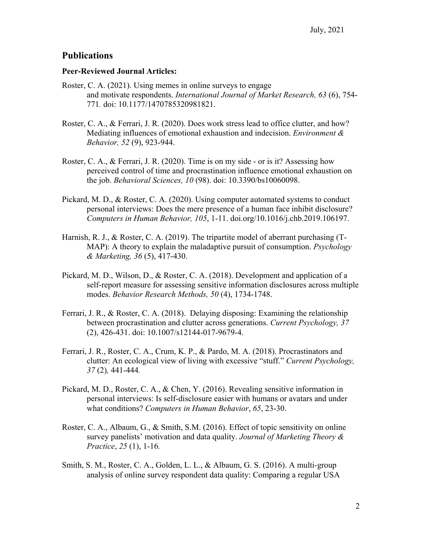### **Publications**

#### **Peer-Reviewed Journal Articles:**

- Roster, C. A. (2021). Using memes in online surveys to engage and motivate respondents. *International Journal of Market Research, 63* (6), 754- 771*.* doi: 10.1177/1470785320981821.
- Roster, C. A., & Ferrari, J. R. (2020). Does work stress lead to office clutter, and how? Mediating influences of emotional exhaustion and indecision. *Environment & Behavior, 52* (9), 923-944.
- Roster, C. A., & Ferrari, J. R. (2020). Time is on my side or is it? Assessing how perceived control of time and procrastination influence emotional exhaustion on the job. *Behavioral Sciences, 10* (98). doi: 10.3390/bs10060098.
- Pickard, M. D., & Roster, C. A. (2020). Using computer automated systems to conduct personal interviews: Does the mere presence of a human face inhibit disclosure? *Computers in Human Behavior, 105*, 1-11. doi.org/10.1016/j.chb.2019.106197.
- Harnish, R. J., & Roster, C. A. (2019). The tripartite model of aberrant purchasing (T-MAP): A theory to explain the maladaptive pursuit of consumption. *Psychology & Marketing, 36* (5), 417-430.
- Pickard, M. D., Wilson, D., & Roster, C. A. (2018). Development and application of a self-report measure for assessing sensitive information disclosures across multiple modes. *Behavior Research Methods, 50* (4), 1734-1748.
- Ferrari, J. R., & Roster, C. A. (2018). Delaying disposing: Examining the relationship between procrastination and clutter across generations. *Current Psychology, 37*  (2), 426-431. doi: 10.1007/s12144-017-9679-4.
- Ferrari, J. R., Roster, C. A., Crum, K. P., & Pardo, M. A. (2018). Procrastinators and clutter: An ecological view of living with excessive "stuff." *Current Psychology, 37* (2)*,* 441-444*.*
- Pickard, M. D., Roster, C. A., & Chen, Y. (2016). Revealing sensitive information in personal interviews: Is self-disclosure easier with humans or avatars and under what conditions? *Computers in Human Behavior*, *65*, 23-30.
- Roster, C. A., Albaum, G., & Smith, S.M. (2016). Effect of topic sensitivity on online survey panelists' motivation and data quality. *Journal of Marketing Theory & Practice*, *25* (1), 1-16*.*
- Smith, S. M., Roster, C. A., Golden, L. L., & Albaum, G. S. (2016). A multi-group analysis of online survey respondent data quality: Comparing a regular USA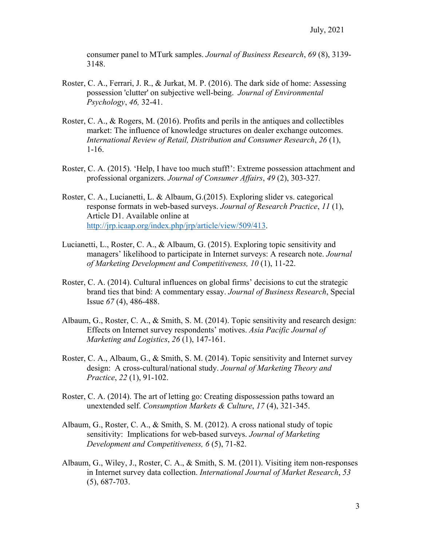consumer panel to MTurk samples. *Journal of Business Research*, *69* (8), 3139- 3148.

- Roster, C. A., Ferrari, J. R., & Jurkat, M. P. (2016). The dark side of home: Assessing possession 'clutter' on subjective well-being. *Journal of Environmental Psychology*, *46,* 32-41.
- Roster, C. A., & Rogers, M. (2016). Profits and perils in the antiques and collectibles market: The influence of knowledge structures on dealer exchange outcomes. *International Review of Retail, Distribution and Consumer Research*, *26* (1), 1-16.
- Roster, C. A. (2015). 'Help, I have too much stuff!': Extreme possession attachment and professional organizers. *Journal of Consumer Affairs*, *49* (2), 303-327*.*
- Roster, C. A., Lucianetti, L. & Albaum, G.(2015). Exploring slider vs. categorical response formats in web-based surveys. *Journal of Research Practice*, *11* (1), Article D1. Available online at http://jrp.icaap.org/index.php/jrp/article/view/509/413.
- Lucianetti, L., Roster, C. A., & Albaum, G. (2015). Exploring topic sensitivity and managers' likelihood to participate in Internet surveys: A research note. *Journal of Marketing Development and Competitiveness, 10* (1), 11-22.
- Roster, C. A. (2014). Cultural influences on global firms' decisions to cut the strategic brand ties that bind: A commentary essay. *Journal of Business Research*, Special Issue *67* (4), 486-488.
- Albaum, G., Roster, C. A., & Smith, S. M. (2014). Topic sensitivity and research design: Effects on Internet survey respondents' motives. *Asia Pacific Journal of Marketing and Logistics*, *26* (1), 147-161.
- Roster, C. A., Albaum, G., & Smith, S. M. (2014). Topic sensitivity and Internet survey design: A cross-cultural/national study. *Journal of Marketing Theory and Practice*, *22* (1), 91-102.
- Roster, C. A. (2014). The art of letting go: Creating dispossession paths toward an unextended self. *Consumption Markets & Culture*, *17* (4), 321-345.
- Albaum, G., Roster, C. A., & Smith, S. M. (2012). A cross national study of topic sensitivity: Implications for web-based surveys. *Journal of Marketing Development and Competitiveness, 6* (5), 71-82.
- Albaum, G., Wiley, J., Roster, C. A., & Smith, S. M. (2011). Visiting item non-responses in Internet survey data collection. *International Journal of Market Research*, *53* (5), 687-703.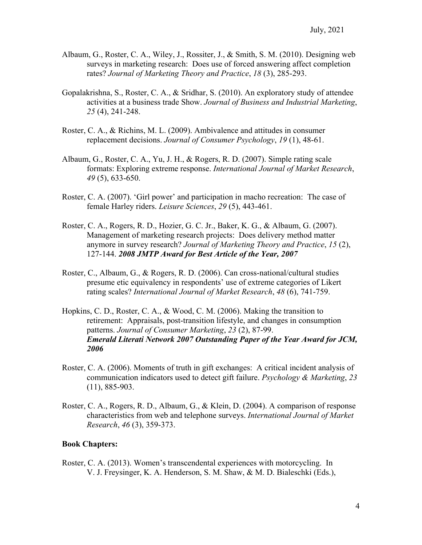- Albaum, G., Roster, C. A., Wiley, J., Rossiter, J., & Smith, S. M. (2010). Designing web surveys in marketing research: Does use of forced answering affect completion rates? *Journal of Marketing Theory and Practice*, *18* (3), 285-293.
- Gopalakrishna, S., Roster, C. A., & Sridhar, S. (2010). An exploratory study of attendee activities at a business trade Show. *Journal of Business and Industrial Marketing*, *25* (4), 241-248.
- Roster, C. A., & Richins, M. L. (2009). Ambivalence and attitudes in consumer replacement decisions. *Journal of Consumer Psychology*, *19* (1), 48-61.
- Albaum, G., Roster, C. A., Yu, J. H., & Rogers, R. D. (2007). Simple rating scale formats: Exploring extreme response. *International Journal of Market Research*, *49* (5), 633-650.
- Roster, C. A. (2007). 'Girl power' and participation in macho recreation: The case of female Harley riders. *Leisure Sciences*, *29* (5), 443-461.
- Roster, C. A., Rogers, R. D., Hozier, G. C. Jr., Baker, K. G., & Albaum, G. (2007). Management of marketing research projects: Does delivery method matter anymore in survey research? *Journal of Marketing Theory and Practice*, *15* (2), 127-144. *2008 JMTP Award for Best Article of the Year, 2007*
- Roster, C., Albaum, G., & Rogers, R. D. (2006). Can cross-national/cultural studies presume etic equivalency in respondents' use of extreme categories of Likert rating scales? *International Journal of Market Research*, *48* (6), 741-759.
- Hopkins, C. D., Roster, C. A., & Wood, C. M. (2006). Making the transition to retirement: Appraisals, post-transition lifestyle, and changes in consumption patterns. *Journal of Consumer Marketing*, *23* (2), 87-99. *Emerald Literati Network 2007 Outstanding Paper of the Year Award for JCM, 2006*
- Roster, C. A. (2006). Moments of truth in gift exchanges: A critical incident analysis of communication indicators used to detect gift failure. *Psychology & Marketing*, *23* (11), 885-903.
- Roster, C. A., Rogers, R. D., Albaum, G., & Klein, D. (2004). A comparison of response characteristics from web and telephone surveys. *International Journal of Market Research*, *46* (3), 359-373.

#### **Book Chapters:**

Roster, C. A. (2013). Women's transcendental experiences with motorcycling. In V. J. Freysinger, K. A. Henderson, S. M. Shaw, & M. D. Bialeschki (Eds.),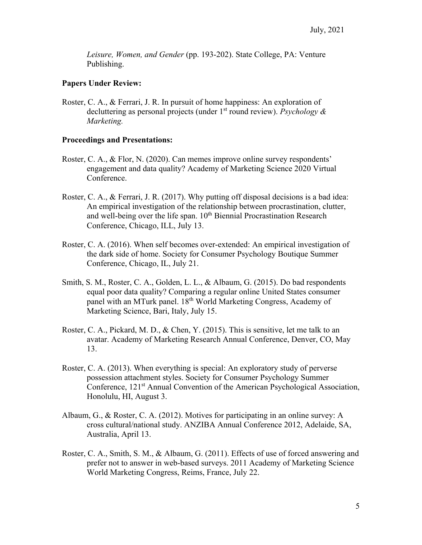*Leisure, Women, and Gender* (pp. 193-202). State College, PA: Venture Publishing.

#### **Papers Under Review:**

Roster, C. A., & Ferrari, J. R. In pursuit of home happiness: An exploration of decluttering as personal projects (under 1st round review). *Psychology & Marketing.* 

#### **Proceedings and Presentations:**

- Roster, C. A., & Flor, N. (2020). Can memes improve online survey respondents' engagement and data quality? Academy of Marketing Science 2020 Virtual Conference.
- Roster, C. A., & Ferrari, J. R. (2017). Why putting off disposal decisions is a bad idea: An empirical investigation of the relationship between procrastination, clutter, and well-being over the life span. 10<sup>th</sup> Biennial Procrastination Research Conference, Chicago, ILL, July 13.
- Roster, C. A. (2016). When self becomes over-extended: An empirical investigation of the dark side of home. Society for Consumer Psychology Boutique Summer Conference, Chicago, IL, July 21.
- Smith, S. M., Roster, C. A., Golden, L. L., & Albaum, G. (2015). Do bad respondents equal poor data quality? Comparing a regular online United States consumer panel with an MTurk panel. 18th World Marketing Congress, Academy of Marketing Science, Bari, Italy, July 15.
- Roster, C. A., Pickard, M. D., & Chen, Y. (2015). This is sensitive, let me talk to an avatar. Academy of Marketing Research Annual Conference, Denver, CO, May 13.
- Roster, C. A. (2013). When everything is special: An exploratory study of perverse possession attachment styles. Society for Consumer Psychology Summer Conference, 121<sup>st</sup> Annual Convention of the American Psychological Association, Honolulu, HI, August 3.
- Albaum, G., & Roster, C. A. (2012). Motives for participating in an online survey: A cross cultural/national study. ANZIBA Annual Conference 2012, Adelaide, SA, Australia, April 13.
- Roster, C. A., Smith, S. M., & Albaum, G. (2011). Effects of use of forced answering and prefer not to answer in web-based surveys. 2011 Academy of Marketing Science World Marketing Congress, Reims, France, July 22.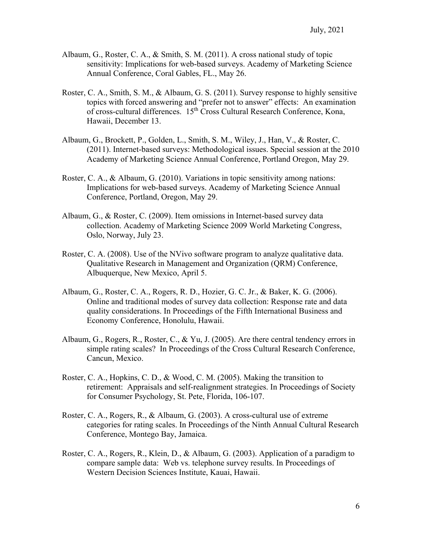- Albaum, G., Roster, C. A., & Smith, S. M. (2011). A cross national study of topic sensitivity: Implications for web-based surveys. Academy of Marketing Science Annual Conference, Coral Gables, FL., May 26.
- Roster, C. A., Smith, S. M., & Albaum, G. S. (2011). Survey response to highly sensitive topics with forced answering and "prefer not to answer" effects: An examination of cross-cultural differences. 15<sup>th</sup> Cross Cultural Research Conference, Kona, Hawaii, December 13.
- Albaum, G., Brockett, P., Golden, L., Smith, S. M., Wiley, J., Han, V., & Roster, C. (2011). Internet-based surveys: Methodological issues. Special session at the 2010 Academy of Marketing Science Annual Conference, Portland Oregon, May 29.
- Roster, C. A., & Albaum, G. (2010). Variations in topic sensitivity among nations: Implications for web-based surveys. Academy of Marketing Science Annual Conference, Portland, Oregon, May 29.
- Albaum, G., & Roster, C. (2009). Item omissions in Internet-based survey data collection. Academy of Marketing Science 2009 World Marketing Congress, Oslo, Norway, July 23.
- Roster, C. A. (2008). Use of the NVivo software program to analyze qualitative data. Qualitative Research in Management and Organization (QRM) Conference, Albuquerque, New Mexico, April 5.
- Albaum, G., Roster, C. A., Rogers, R. D., Hozier, G. C. Jr., & Baker, K. G. (2006). Online and traditional modes of survey data collection: Response rate and data quality considerations. In Proceedings of the Fifth International Business and Economy Conference, Honolulu, Hawaii.
- Albaum, G., Rogers, R., Roster, C., & Yu, J. (2005). Are there central tendency errors in simple rating scales? In Proceedings of the Cross Cultural Research Conference, Cancun, Mexico.
- Roster, C. A., Hopkins, C. D., & Wood, C. M. (2005). Making the transition to retirement: Appraisals and self-realignment strategies. In Proceedings of Society for Consumer Psychology, St. Pete, Florida, 106-107.
- Roster, C. A., Rogers, R., & Albaum, G. (2003). A cross-cultural use of extreme categories for rating scales. In Proceedings of the Ninth Annual Cultural Research Conference, Montego Bay, Jamaica.
- Roster, C. A., Rogers, R., Klein, D., & Albaum, G. (2003). Application of a paradigm to compare sample data: Web vs. telephone survey results. In Proceedings of Western Decision Sciences Institute, Kauai, Hawaii.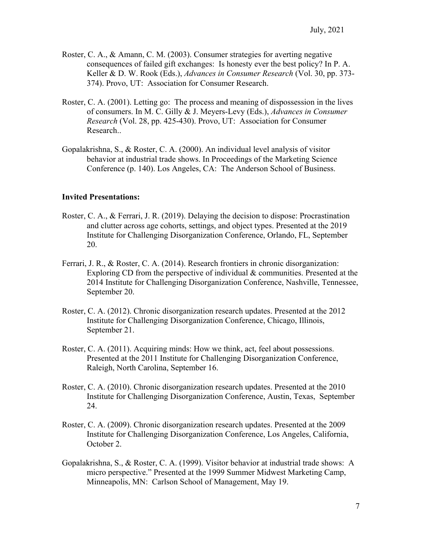- Roster, C. A., & Amann, C. M. (2003). Consumer strategies for averting negative consequences of failed gift exchanges: Is honesty ever the best policy? In P. A. Keller & D. W. Rook (Eds.), *Advances in Consumer Research* (Vol. 30, pp. 373- 374). Provo, UT: Association for Consumer Research.
- Roster, C. A. (2001). Letting go: The process and meaning of dispossession in the lives of consumers. In M. C. Gilly & J. Meyers-Levy (Eds.), *Advances in Consumer Research* (Vol. 28, pp. 425-430). Provo, UT: Association for Consumer Research..
- Gopalakrishna, S., & Roster, C. A. (2000). An individual level analysis of visitor behavior at industrial trade shows. In Proceedings of the Marketing Science Conference (p. 140). Los Angeles, CA: The Anderson School of Business.

#### **Invited Presentations:**

- Roster, C. A., & Ferrari, J. R. (2019). Delaying the decision to dispose: Procrastination and clutter across age cohorts, settings, and object types. Presented at the 2019 Institute for Challenging Disorganization Conference, Orlando, FL, September 20.
- Ferrari, J. R., & Roster, C. A. (2014). Research frontiers in chronic disorganization: Exploring CD from the perspective of individual & communities. Presented at the 2014 Institute for Challenging Disorganization Conference, Nashville, Tennessee, September 20.
- Roster, C. A. (2012). Chronic disorganization research updates. Presented at the 2012 Institute for Challenging Disorganization Conference, Chicago, Illinois, September 21.
- Roster, C. A. (2011). Acquiring minds: How we think, act, feel about possessions. Presented at the 2011 Institute for Challenging Disorganization Conference, Raleigh, North Carolina, September 16.
- Roster, C. A. (2010). Chronic disorganization research updates. Presented at the 2010 Institute for Challenging Disorganization Conference, Austin, Texas, September 24.
- Roster, C. A. (2009). Chronic disorganization research updates. Presented at the 2009 Institute for Challenging Disorganization Conference, Los Angeles, California, October 2.
- Gopalakrishna, S., & Roster, C. A. (1999). Visitor behavior at industrial trade shows: A micro perspective." Presented at the 1999 Summer Midwest Marketing Camp, Minneapolis, MN: Carlson School of Management, May 19.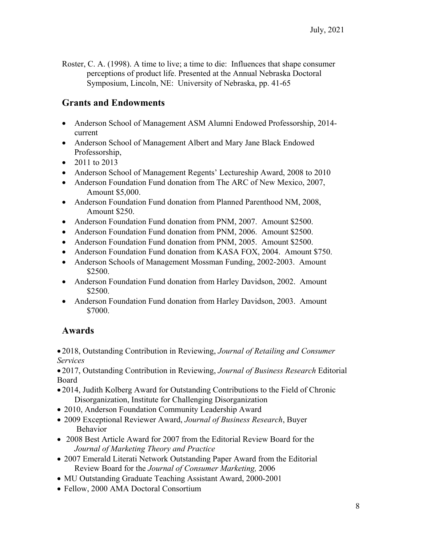Roster, C. A. (1998). A time to live; a time to die: Influences that shape consumer perceptions of product life. Presented at the Annual Nebraska Doctoral Symposium, Lincoln, NE: University of Nebraska, pp. 41-65

# **Grants and Endowments**

- Anderson School of Management ASM Alumni Endowed Professorship, 2014current
- Anderson School of Management Albert and Mary Jane Black Endowed Professorship,
- 2011 to 2013
- Anderson School of Management Regents' Lectureship Award, 2008 to 2010
- Anderson Foundation Fund donation from The ARC of New Mexico, 2007, Amount \$5,000.
- Anderson Foundation Fund donation from Planned Parenthood NM, 2008, Amount \$250.
- Anderson Foundation Fund donation from PNM, 2007. Amount \$2500.
- Anderson Foundation Fund donation from PNM, 2006. Amount \$2500.
- Anderson Foundation Fund donation from PNM, 2005. Amount \$2500.
- Anderson Foundation Fund donation from KASA FOX, 2004. Amount \$750.
- Anderson Schools of Management Mossman Funding, 2002-2003. Amount \$2500.
- Anderson Foundation Fund donation from Harley Davidson, 2002. Amount \$2500.
- Anderson Foundation Fund donation from Harley Davidson, 2003. Amount \$7000.

# **Awards**

 2018, Outstanding Contribution in Reviewing, *Journal of Retailing and Consumer Services* 

 2017, Outstanding Contribution in Reviewing, *Journal of Business Research* Editorial Board

- 2014, Judith Kolberg Award for Outstanding Contributions to the Field of Chronic Disorganization, Institute for Challenging Disorganization
- 2010, Anderson Foundation Community Leadership Award
- 2009 Exceptional Reviewer Award, *Journal of Business Research*, Buyer Behavior
- 2008 Best Article Award for 2007 from the Editorial Review Board for the *Journal of Marketing Theory and Practice*
- 2007 Emerald Literati Network Outstanding Paper Award from the Editorial Review Board for the *Journal of Consumer Marketing,* 2006
- MU Outstanding Graduate Teaching Assistant Award, 2000-2001
- Fellow, 2000 AMA Doctoral Consortium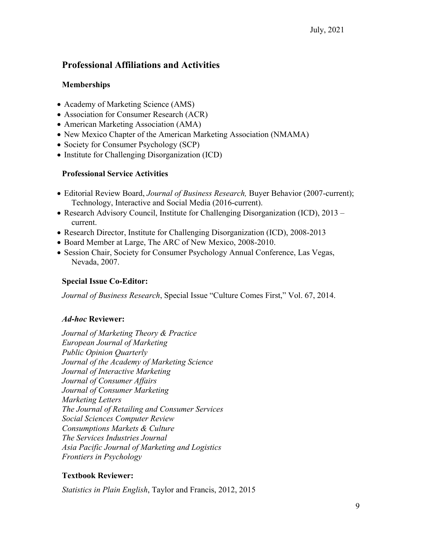# **Professional Affiliations and Activities**

### **Memberships**

- Academy of Marketing Science (AMS)
- Association for Consumer Research (ACR)
- American Marketing Association (AMA)
- New Mexico Chapter of the American Marketing Association (NMAMA)
- Society for Consumer Psychology (SCP)
- Institute for Challenging Disorganization (ICD)

### **Professional Service Activities**

- Editorial Review Board, *Journal of Business Research,* Buyer Behavior (2007-current); Technology, Interactive and Social Media (2016-current).
- Research Advisory Council, Institute for Challenging Disorganization (ICD), 2013 current.
- Research Director, Institute for Challenging Disorganization (ICD), 2008-2013
- Board Member at Large, The ARC of New Mexico, 2008-2010.
- Session Chair, Society for Consumer Psychology Annual Conference, Las Vegas, Nevada, 2007.

#### **Special Issue Co-Editor:**

*Journal of Business Research*, Special Issue "Culture Comes First," Vol. 67, 2014.

#### *Ad***-***hoc* **Reviewer:**

*Journal of Marketing Theory & Practice European Journal of Marketing Public Opinion Quarterly Journal of the Academy of Marketing Science Journal of Interactive Marketing Journal of Consumer Affairs Journal of Consumer Marketing Marketing Letters The Journal of Retailing and Consumer Services Social Sciences Computer Review Consumptions Markets & Culture The Services Industries Journal Asia Pacific Journal of Marketing and Logistics Frontiers in Psychology* 

### **Textbook Reviewer:**

*Statistics in Plain English*, Taylor and Francis, 2012, 2015